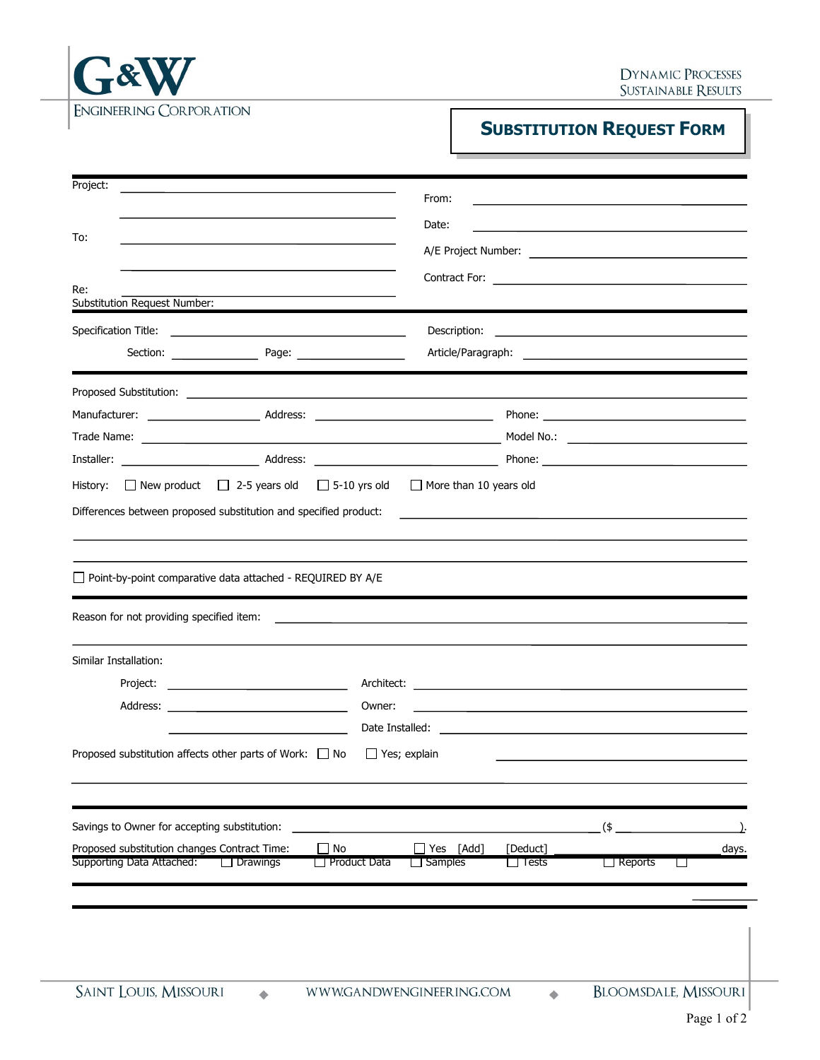

## **SUBSTITUTION REQUEST FORM**

| Project:                                                                                                                                                                                                                       | From:                                                                                                                                                                                                                                |                                                                                                                                                                                                                               |                |        |
|--------------------------------------------------------------------------------------------------------------------------------------------------------------------------------------------------------------------------------|--------------------------------------------------------------------------------------------------------------------------------------------------------------------------------------------------------------------------------------|-------------------------------------------------------------------------------------------------------------------------------------------------------------------------------------------------------------------------------|----------------|--------|
|                                                                                                                                                                                                                                | Date:                                                                                                                                                                                                                                |                                                                                                                                                                                                                               |                |        |
| To:                                                                                                                                                                                                                            |                                                                                                                                                                                                                                      |                                                                                                                                                                                                                               |                |        |
|                                                                                                                                                                                                                                |                                                                                                                                                                                                                                      |                                                                                                                                                                                                                               |                |        |
| Re:<br><b>Substitution Request Number:</b>                                                                                                                                                                                     |                                                                                                                                                                                                                                      |                                                                                                                                                                                                                               |                |        |
|                                                                                                                                                                                                                                |                                                                                                                                                                                                                                      |                                                                                                                                                                                                                               |                |        |
|                                                                                                                                                                                                                                | Description:                                                                                                                                                                                                                         | <u> 1989 - Johann Harry Harry Harry Harry Harry Harry Harry Harry Harry Harry Harry Harry Harry Harry Harry Harry</u>                                                                                                         |                |        |
|                                                                                                                                                                                                                                |                                                                                                                                                                                                                                      |                                                                                                                                                                                                                               |                |        |
|                                                                                                                                                                                                                                |                                                                                                                                                                                                                                      |                                                                                                                                                                                                                               |                |        |
|                                                                                                                                                                                                                                |                                                                                                                                                                                                                                      |                                                                                                                                                                                                                               |                |        |
|                                                                                                                                                                                                                                |                                                                                                                                                                                                                                      |                                                                                                                                                                                                                               |                |        |
| Installer: Note and Solution Address: Note and Solution Phone: Note and Solution Phone: Note and Solution Phone and Solution Phone and Solution Phone and Solution Phone and Solution Phone and Solution Phone and Solution Ph |                                                                                                                                                                                                                                      |                                                                                                                                                                                                                               |                |        |
| $\Box$ New product $\Box$ 2-5 years old $\Box$ 5-10 yrs old $\Box$ More than 10 years old<br>History:                                                                                                                          |                                                                                                                                                                                                                                      |                                                                                                                                                                                                                               |                |        |
| Differences between proposed substitution and specified product:                                                                                                                                                               |                                                                                                                                                                                                                                      | the control of the control of the control of the control of the control of the control of the control of the control of the control of the control of the control of the control of the control of the control of the control |                |        |
|                                                                                                                                                                                                                                |                                                                                                                                                                                                                                      |                                                                                                                                                                                                                               |                |        |
|                                                                                                                                                                                                                                |                                                                                                                                                                                                                                      |                                                                                                                                                                                                                               |                |        |
| Point-by-point comparative data attached - REQUIRED BY A/E                                                                                                                                                                     |                                                                                                                                                                                                                                      |                                                                                                                                                                                                                               |                |        |
| Reason for not providing specified item:                                                                                                                                                                                       |                                                                                                                                                                                                                                      |                                                                                                                                                                                                                               |                |        |
|                                                                                                                                                                                                                                | <u> 2000 - Jan Samuel Barbara, martin da shekara 1980 - An tsara 1980 - An tsara 1980 - An tsara 1980 - An tsara</u>                                                                                                                 |                                                                                                                                                                                                                               |                |        |
| Similar Installation:                                                                                                                                                                                                          |                                                                                                                                                                                                                                      |                                                                                                                                                                                                                               |                |        |
| Project:<br>the control of the control of the control of the control of the control of                                                                                                                                         |                                                                                                                                                                                                                                      |                                                                                                                                                                                                                               |                |        |
|                                                                                                                                                                                                                                | Owner:                                                                                                                                                                                                                               | the control of the control of the control of the control of the control of the control of                                                                                                                                     |                |        |
|                                                                                                                                                                                                                                | Date Installed: <u>Date of the Second Contract of the Second Contract of the Second Contract of the Second Contract of the Second Contract of the Second Contract of the Second Contract of the Second Contract of the Second Co</u> |                                                                                                                                                                                                                               |                |        |
| Proposed substitution affects other parts of Work: $\Box$ No                                                                                                                                                                   | $\Box$ Yes; explain                                                                                                                                                                                                                  |                                                                                                                                                                                                                               |                |        |
|                                                                                                                                                                                                                                |                                                                                                                                                                                                                                      |                                                                                                                                                                                                                               |                |        |
|                                                                                                                                                                                                                                |                                                                                                                                                                                                                                      |                                                                                                                                                                                                                               |                |        |
| Savings to Owner for accepting substitution:                                                                                                                                                                                   |                                                                                                                                                                                                                                      |                                                                                                                                                                                                                               | $($ \$         |        |
| Proposed substitution changes Contract Time:                                                                                                                                                                                   | No<br>Yes<br>[Add]                                                                                                                                                                                                                   | [Deduct]                                                                                                                                                                                                                      |                | days.  |
| Supporting Data Attached:<br>$\Box$ Drawings                                                                                                                                                                                   | □ Product Data<br>$\Box$ Samples                                                                                                                                                                                                     | $\Box$ Tests                                                                                                                                                                                                                  | $\Box$ Reports | $\sim$ |
|                                                                                                                                                                                                                                |                                                                                                                                                                                                                                      |                                                                                                                                                                                                                               |                |        |
|                                                                                                                                                                                                                                |                                                                                                                                                                                                                                      |                                                                                                                                                                                                                               |                |        |